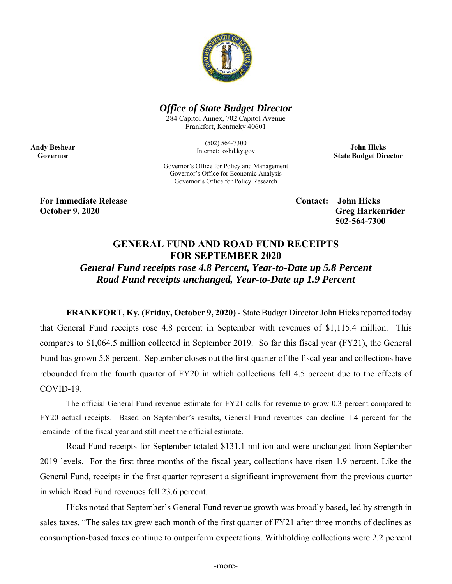

## *Office of State Budget Director*

284 Capitol Annex, 702 Capitol Avenue Frankfort, Kentucky 40601

> (502) 564-7300 Internet: osbd.ky.gov

**John Hicks State Budget Director** 

Governor's Office for Policy and Management Governor's Office for Economic Analysis Governor's Office for Policy Research

**For Immediate Release Contact: John Hicks** 

**Andy Beshear Governor** 

> **October 9, 2020** Greg Harkenrider  **502-564-7300**

## **GENERAL FUND AND ROAD FUND RECEIPTS FOR SEPTEMBER 2020**

*General Fund receipts rose 4.8 Percent, Year-to-Date up 5.8 Percent Road Fund receipts unchanged, Year-to-Date up 1.9 Percent* 

**FRANKFORT, Ky. (Friday, October 9, 2020)** - State Budget Director John Hicks reported today that General Fund receipts rose 4.8 percent in September with revenues of \$1,115.4 million. This compares to \$1,064.5 million collected in September 2019. So far this fiscal year (FY21), the General Fund has grown 5.8 percent. September closes out the first quarter of the fiscal year and collections have rebounded from the fourth quarter of FY20 in which collections fell 4.5 percent due to the effects of COVID-19.

 The official General Fund revenue estimate for FY21 calls for revenue to grow 0.3 percent compared to FY20 actual receipts. Based on September's results, General Fund revenues can decline 1.4 percent for the remainder of the fiscal year and still meet the official estimate.

Road Fund receipts for September totaled \$131.1 million and were unchanged from September 2019 levels. For the first three months of the fiscal year, collections have risen 1.9 percent. Like the General Fund, receipts in the first quarter represent a significant improvement from the previous quarter in which Road Fund revenues fell 23.6 percent.

Hicks noted that September's General Fund revenue growth was broadly based, led by strength in sales taxes. "The sales tax grew each month of the first quarter of FY21 after three months of declines as consumption-based taxes continue to outperform expectations. Withholding collections were 2.2 percent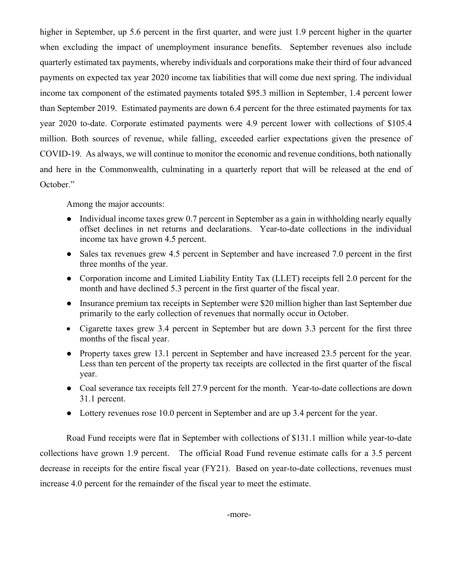higher in September, up 5.6 percent in the first quarter, and were just 1.9 percent higher in the quarter when excluding the impact of unemployment insurance benefits. September revenues also include quarterly estimated tax payments, whereby individuals and corporations make their third of four advanced payments on expected tax year 2020 income tax liabilities that will come due next spring. The individual income tax component of the estimated payments totaled \$95.3 million in September, 1.4 percent lower than September 2019. Estimated payments are down 6.4 percent for the three estimated payments for tax year 2020 to-date. Corporate estimated payments were 4.9 percent lower with collections of \$105.4 million. Both sources of revenue, while falling, exceeded earlier expectations given the presence of COVID-19. As always, we will continue to monitor the economic and revenue conditions, both nationally and here in the Commonwealth, culminating in a quarterly report that will be released at the end of October."

Among the major accounts:

- Individual income taxes grew 0.7 percent in September as a gain in withholding nearly equally offset declines in net returns and declarations. Year-to-date collections in the individual income tax have grown 4.5 percent.
- Sales tax revenues grew 4.5 percent in September and have increased 7.0 percent in the first three months of the year.
- Corporation income and Limited Liability Entity Tax (LLET) receipts fell 2.0 percent for the month and have declined 5.3 percent in the first quarter of the fiscal year.
- Insurance premium tax receipts in September were \$20 million higher than last September due primarily to the early collection of revenues that normally occur in October.
- Cigarette taxes grew 3.4 percent in September but are down 3.3 percent for the first three months of the fiscal year.
- Property taxes grew 13.1 percent in September and have increased 23.5 percent for the year. Less than ten percent of the property tax receipts are collected in the first quarter of the fiscal year.
- Coal severance tax receipts fell 27.9 percent for the month. Year-to-date collections are down 31.1 percent.
- Lottery revenues rose 10.0 percent in September and are up 3.4 percent for the year.

Road Fund receipts were flat in September with collections of \$131.1 million while year-to-date collections have grown 1.9 percent. The official Road Fund revenue estimate calls for a 3.5 percent decrease in receipts for the entire fiscal year (FY21). Based on year-to-date collections, revenues must increase 4.0 percent for the remainder of the fiscal year to meet the estimate.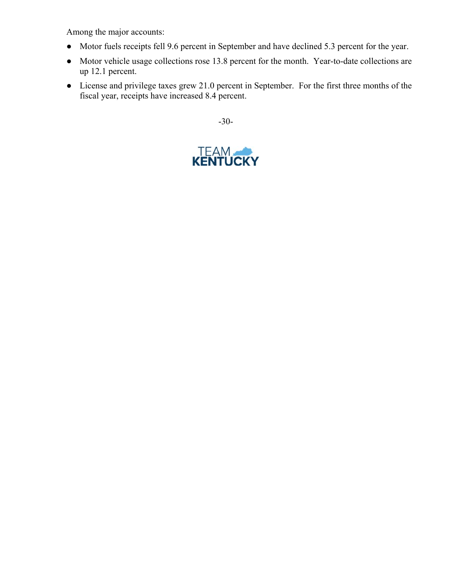Among the major accounts:

- Motor fuels receipts fell 9.6 percent in September and have declined 5.3 percent for the year.
- Motor vehicle usage collections rose 13.8 percent for the month. Year-to-date collections are up 12.1 percent.
- License and privilege taxes grew 21.0 percent in September. For the first three months of the fiscal year, receipts have increased 8.4 percent.

-30-

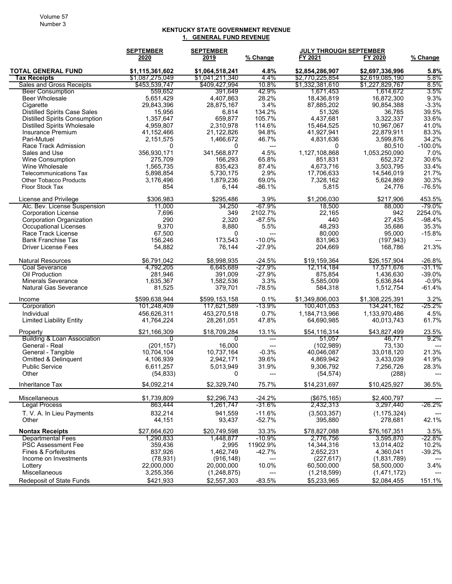## **KENTUCKY STATE GOVERNMENT REVENUE 1. GENERAL FUND REVENUE**

|                                                            | <b>SEPTEMBER</b>          | <b>SEPTEMBER</b>       |                                  |                          | JULY THROUGH SEPTEMBER   |                   |
|------------------------------------------------------------|---------------------------|------------------------|----------------------------------|--------------------------|--------------------------|-------------------|
|                                                            | 2020                      | 2019                   | % Change                         | FY 2021                  | FY 2020                  | % Change          |
| <b>TOTAL GENERAL FUND</b>                                  | \$1,115,361,602           | \$1,064,518,241        | 4.8%                             | \$2,854,286,907          | \$2,697,336,996          | 5.8%              |
| <b>Tax Receipts</b>                                        | \$1,087,275,049           | \$1,041,211,340        | 4.4%                             | \$2,770,225,854          | \$2,619,085,190          | 5.8%              |
| <b>Sales and Gross Receipts</b>                            | \$453,539,747             | \$409,427,994          | 10.8%                            | \$1,332,381,610          | \$1,227,829,767          | 8.5%              |
| <b>Beer Consumption</b>                                    | 559,652                   | 391,649                | 42.9%                            | 1,671,453                | 1,614,672                | 3.5%              |
| <b>Beer Wholesale</b>                                      | 5,651,429                 | 4,407,863              | 28.2%                            | 18,436,819               | 16,872,300               | 9.3%              |
| Cigarette                                                  | 29,843,396                | 28,875,167             | 3.4%                             | 87,885,202               | 90,854,388               | $-3.3%$           |
| <b>Distilled Spirits Case Sales</b>                        | 15,956                    | 6,814                  | 134.2%                           | 51,326                   | 36,785                   | 39.5%             |
| Distilled Spirits Consumption                              | 1,357,647                 | 659,877                | 105.7%                           | 4,437,681                | 3,322,337                | 33.6%             |
| <b>Distilled Spirits Wholesale</b>                         | 4,959,807                 | 2,310,978              | 114.6%                           | 15,464,525               | 10,967,067               | 41.0%             |
| Insurance Premium                                          | 41,152,466                | 21,122,826             | 94.8%                            | 41,927,941               | 22,879,911               | 83.3%             |
| Pari-Mutuel                                                | 2,151,575<br>$\mathbf{0}$ | 1,466,672              | 46.7%                            | 4,831,636                | 3,599,876                | 34.2%             |
| Race Track Admission                                       | 356,930,171               | 0                      | $\hspace{0.05cm} \ldots$<br>4.5% | 0                        | 80,510                   | $-100.0%$<br>7.0% |
| Sales and Use<br>Wine Consumption                          | 275,709                   | 341,568,877<br>166,293 | 65.8%                            | 1,127,108,868<br>851,831 | 1,053,250,090<br>652,372 | 30.6%             |
| Wine Wholesale                                             | 1,565,735                 | 835,423                | 87.4%                            | 4,673,716                | 3,503,795                | 33.4%             |
| Telecommunications Tax                                     | 5,898,854                 | 5,730,175              | 2.9%                             | 17,706,633               | 14,546,019               | 21.7%             |
| <b>Other Tobacco Products</b>                              | 3,176,496                 | 1,879,236              | 69.0%                            | 7,328,162                | 5,624,869                | 30.3%             |
| Floor Stock Tax                                            | 854                       | 6,144                  | $-86.1%$                         | 5,815                    | 24,776                   | $-76.5%$          |
|                                                            |                           |                        |                                  |                          |                          |                   |
| License and Privilege                                      | \$306,983                 | \$295,486              | 3.9%                             | \$1,206,030              | \$217,906                | 453.5%            |
| Alc. Bev. License Suspension<br><b>Corporation License</b> | 11,000<br>7,696           | 34,250<br>349          | -67.9%<br>2102.7%                | 18,500<br>22,165         | 88,000<br>942            | -79.0%<br>2254.0% |
| <b>Corporation Organization</b>                            | 290                       | 2,320                  | $-87.5%$                         | 440                      | 27,435                   | $-98.4%$          |
| Occupational Licenses                                      | 9,370                     | 8,880                  | 5.5%                             | 48,293                   | 35,686                   | 35.3%             |
| Race Track License                                         | 67,500                    | 0                      | $\qquad \qquad \cdots$           | 80,000                   | 95,000                   | $-15.8%$          |
| <b>Bank Franchise Tax</b>                                  | 156,246                   | 173,543                | $-10.0%$                         | 831,963                  | (197, 943)               |                   |
| <b>Driver License Fees</b>                                 | 54,882                    | 76,144                 | $-27.9%$                         | 204,669                  | 168,786                  | 21.3%             |
| <b>Natural Resources</b>                                   | \$6,791,042               | \$8,998,935            | $-24.5%$                         | \$19,159,364             | \$26,157,904             | $-26.8%$          |
| <b>Coal Severance</b>                                      | 4,792,205                 | 6,645,689              | -27.9%                           | 12,114,184               | 17,571,676               | -31.1%            |
| Oil Production                                             | 281,946                   | 391,009                | $-27.9%$                         | 875,854                  | 1,436,630                | $-39.0%$          |
| <b>Minerals Severance</b>                                  | 1,635,367                 | 1,582,536              | 3.3%                             | 5,585,009                | 5,636,844                | $-0.9%$           |
| <b>Natural Gas Severance</b>                               | 81,525                    | 379,701                | $-78.5%$                         | 584,318                  | 1,512,754                | $-61.4%$          |
| Income                                                     | \$599,638,944             | \$599,153,158          | 0.1%                             | \$1,349,806,003          | \$1,308,225,391          | 3.2%              |
| Corporation                                                | 101,248,409               | 117,621,589            | -13.9%                           | 100,401,053              | 134,241,162              | $-25.2\%$         |
| Individual                                                 | 456,626,311               | 453,270,518            | 0.7%                             | 1,184,713,966            | 1,133,970,486            | 4.5%              |
| <b>Limited Liability Entity</b>                            | 41,764,224                | 28,261,051             | 47.8%                            | 64,690,985               | 40,013,743               | 61.7%             |
| Property                                                   | \$21,166,309              | \$18,709,284           | 13.1%                            | \$54,116,314             | \$43,827,499             | 23.5%             |
| Building & Loan Association                                | 0                         | 0                      | $\overline{a}$                   | 51,057                   | 46,771                   | 9.2%              |
| General - Real                                             | (201, 157)                | 16,000                 | $\overline{a}$                   | (102, 989)               | 73,130                   |                   |
| General - Tangible                                         | 10,704,104                | 10,737,164             | $-0.3%$                          | 40,046,087               | 33,018,120               | 21.3%             |
| Omitted & Delinquent                                       | 4,106,939                 | 2,942,171              | 39.6%                            | 4,869,942                | 3,433,039                | 41.9%             |
| <b>Public Service</b>                                      | 6,611,257                 | 5,013,949              | 31.9%                            | 9,306,792                | 7,256,726                | 28.3%             |
| Other                                                      | (54,833)                  | 0                      | ---                              | (54, 574)                | (288)                    | ---               |
| Inheritance Tax                                            | \$4,092,214               | \$2,329,740            | 75.7%                            | \$14,231,697             | \$10,425,927             | 36.5%             |
| Miscellaneous                                              | \$1,739,809               | \$2,296,743            | $-24.2%$                         | (\$675, 165)             | \$2,400,797              |                   |
| Legal Process                                              | 863,444                   | 1,261,747              | -31.6%                           | 2,432,313                | 3,297,440                | -26.2%            |
| T. V. A. In Lieu Payments                                  | 832,214                   | 941,559                | $-11.6%$                         | (3,503,357)              | (1, 175, 324)            |                   |
| Other                                                      | 44,151                    | 93,437                 | $-52.7%$                         | 395,880                  | 278,681                  | 42.1%             |
| <b>Nontax Receipts</b>                                     | \$27,664,620              | \$20,749,598           | 33.3%                            | \$78,827,088             | \$76,167,351             | 3.5%              |
| <b>Departmental Fees</b>                                   | 1,290,833                 | 1,448,877              | -10.9%                           | 2,776,756                | 3,595,870                | -22.8%            |
| <b>PSC Assessment Fee</b>                                  | 359,436                   | 2,995                  | 11902.9%                         | 14,344,316               | 13,014,402               | 10.2%             |
| Fines & Forfeitures                                        | 837,926                   | 1,462,749              | -42.7%                           | 2,652,231                | 4,360,041                | $-39.2%$          |
| Income on Investments                                      | (78, 931)                 | (916, 148)             |                                  | (227, 617)               | (1,831,789)              |                   |
| Lottery                                                    | 22,000,000                | 20,000,000             | 10.0%                            | 60,500,000               | 58,500,000               | 3.4%              |
| Miscellaneous                                              | 3,255,356                 | (1,248,875)            |                                  | (1,218,599)              | (1,471,172)              |                   |
| Redeposit of State Funds                                   | \$421,933                 | \$2,557,303            | $-83.5%$                         | \$5,233,965              | \$2,084,455              | 151.1%            |